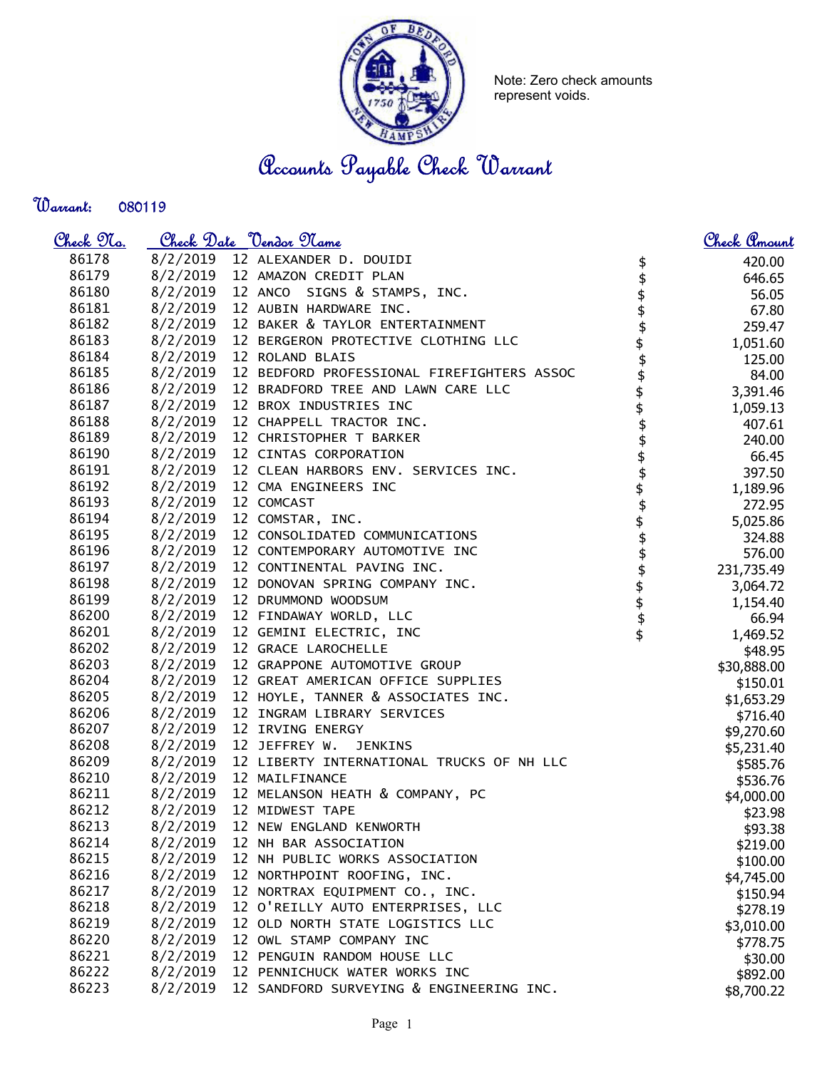

Note: Zero check amounts represent voids.

Accounts Payable Check Warrant

Warrant: 

| <u>Check 97a.</u> |          | <u>Check Date "Vendor Name</u>                      |                                                   | <u>Check Amount</u> |
|-------------------|----------|-----------------------------------------------------|---------------------------------------------------|---------------------|
| 86178             |          | 8/2/2019 12 ALEXANDER D. DOUIDI                     | \$                                                | 420.00              |
| 86179             |          | 8/2/2019 12 AMAZON CREDIT PLAN                      | \$                                                | 646.65              |
| 86180             |          | 8/2/2019 12 ANCO SIGNS & STAMPS, INC.               |                                                   | 56.05               |
| 86181             |          | 8/2/2019 12 AUBIN HARDWARE INC.                     |                                                   | 67.80               |
| 86182             |          | 8/2/2019 12 BAKER & TAYLOR ENTERTAINMENT            |                                                   | 259.47              |
| 86183             |          | 8/2/2019 12 BERGERON PROTECTIVE CLOTHING LLC        |                                                   | 1,051.60            |
| 86184             |          | 8/2/2019 12 ROLAND BLAIS                            |                                                   | 125.00              |
| 86185             |          | 8/2/2019 12 BEDFORD PROFESSIONAL FIREFIGHTERS ASSOC |                                                   | 84.00               |
| 86186             |          | 8/2/2019 12 BRADFORD TREE AND LAWN CARE LLC         |                                                   | 3,391.46            |
| 86187             |          | 8/2/2019 12 BROX INDUSTRIES INC                     |                                                   | 1,059.13            |
| 86188             |          | 8/2/2019 12 CHAPPELL TRACTOR INC.                   |                                                   | 407.61              |
| 86189             |          | 8/2/2019 12 CHRISTOPHER T BARKER                    |                                                   | 240.00              |
| 86190             |          | 8/2/2019 12 CINTAS CORPORATION                      |                                                   | 66.45               |
| 86191             |          | 8/2/2019 12 CLEAN HARBORS ENV. SERVICES INC.        |                                                   | 397.50              |
| 86192             |          | 8/2/2019 12 CMA ENGINEERS INC                       |                                                   | 1,189.96            |
| 86193             |          | 8/2/2019 12 COMCAST                                 |                                                   | 272.95              |
| 86194             |          | 8/2/2019 12 COMSTAR, INC.                           |                                                   | 5,025.86            |
| 86195             |          | 8/2/2019 12 CONSOLIDATED COMMUNICATIONS             |                                                   | 324.88              |
| 86196             |          | 8/2/2019 12 CONTEMPORARY AUTOMOTIVE INC             |                                                   | 576.00              |
| 86197             |          | 8/2/2019 12 CONTINENTAL PAVING INC.                 |                                                   | 231,735.49          |
| 86198             |          | 8/2/2019 12 DONOVAN SPRING COMPANY INC.             |                                                   | 3,064.72            |
| 86199             |          | 8/2/2019 12 DRUMMOND WOODSUM                        |                                                   | 1,154.40            |
| 86200             |          | 8/2/2019 12 FINDAWAY WORLD, LLC                     | <b>\$\$\$\$\$\$\$\$\$\$\$\$\$\$\$\$\$\$\$\$\$</b> | 66.94               |
| 86201             |          | 8/2/2019 12 GEMINI ELECTRIC, INC                    |                                                   | 1,469.52            |
| 86202             |          | 8/2/2019 12 GRACE LAROCHELLE                        |                                                   | \$48.95             |
| 86203             |          | 8/2/2019 12 GRAPPONE AUTOMOTIVE GROUP               |                                                   | \$30,888.00         |
| 86204             |          | 8/2/2019 12 GREAT AMERICAN OFFICE SUPPLIES          |                                                   | \$150.01            |
| 86205             |          | 8/2/2019 12 HOYLE, TANNER & ASSOCIATES INC.         |                                                   | \$1,653.29          |
| 86206             | 8/2/2019 | 12 INGRAM LIBRARY SERVICES                          |                                                   | \$716.40            |
| 86207             | 8/2/2019 | 12 IRVING ENERGY                                    |                                                   | \$9,270.60          |
| 86208             | 8/2/2019 | 12 JEFFREY W. JENKINS                               |                                                   | \$5,231.40          |
| 86209             | 8/2/2019 | 12 LIBERTY INTERNATIONAL TRUCKS OF NH LLC           |                                                   | \$585.76            |
| 86210             |          | 8/2/2019 12 MAILFINANCE                             |                                                   | \$536.76            |
| 86211             |          | 8/2/2019 12 MELANSON HEATH & COMPANY, PC            |                                                   | \$4,000.00          |
| 86212             |          | 8/2/2019 12 MIDWEST TAPE                            |                                                   | \$23.98             |
| 86213             | 8/2/2019 | 12 NEW ENGLAND KENWORTH                             |                                                   | \$93.38             |
| 86214             | 8/2/2019 | 12 NH BAR ASSOCIATION                               |                                                   | \$219.00            |
| 86215             | 8/2/2019 | 12 NH PUBLIC WORKS ASSOCIATION                      |                                                   | \$100.00            |
| 86216             | 8/2/2019 | 12 NORTHPOINT ROOFING, INC.                         |                                                   | \$4,745.00          |
| 86217             | 8/2/2019 | 12 NORTRAX EQUIPMENT CO., INC.                      |                                                   | \$150.94            |
| 86218             | 8/2/2019 | 12 O'REILLY AUTO ENTERPRISES, LLC                   |                                                   | \$278.19            |
| 86219             | 8/2/2019 | 12 OLD NORTH STATE LOGISTICS LLC                    |                                                   | \$3,010.00          |
| 86220             | 8/2/2019 | 12 OWL STAMP COMPANY INC                            |                                                   | \$778.75            |
| 86221             | 8/2/2019 | 12 PENGUIN RANDOM HOUSE LLC                         |                                                   | \$30.00             |
| 86222             | 8/2/2019 | 12 PENNICHUCK WATER WORKS INC                       |                                                   | \$892.00            |
| 86223             | 8/2/2019 | 12 SANDFORD SURVEYING & ENGINEERING INC.            |                                                   | \$8,700.22          |
|                   |          |                                                     |                                                   |                     |